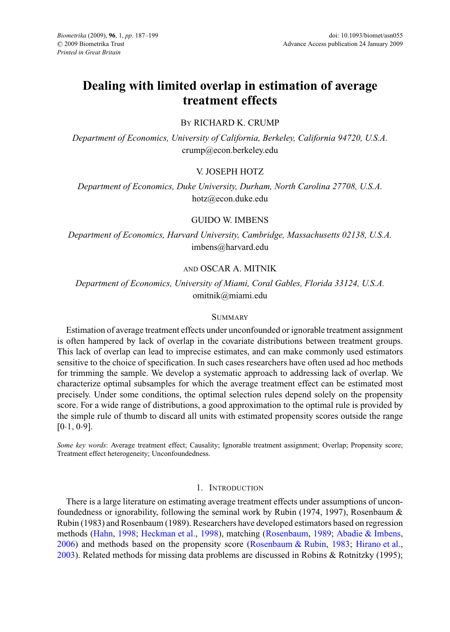# **Dealing with limited overlap in estimation of average treatment effects**

## BY RICHARD K. CRUMP

*Department of Economics, University of California, Berkeley, California 94720, U.S.A.* crump@econ.berkeley.edu

## V. JOSEPH HOTZ

*Department of Economics, Duke University, Durham, North Carolina 27708, U.S.A.* hotz@econ.duke.edu

# GUIDO W. IMBENS

*Department of Economics, Harvard University, Cambridge, Massachusetts 02138, U.S.A.* imbens@harvard.edu

# AND OSCAR A. MITNIK

*Department of Economics, University of Miami, Coral Gables, Florida 33124, U.S.A.* omitnik@miami.edu

## SUMMARY

Estimation of average treatment effects under unconfounded or ignorable treatment assignment is often hampered by lack of overlap in the covariate distributions between treatment groups. This lack of overlap can lead to imprecise estimates, and can make commonly used estimators sensitive to the choice of specification. In such cases researchers have often used ad hoc methods for trimming the sample. We develop a systematic approach to addressing lack of overlap. We characterize optimal subsamples for which the average treatment effect can be estimated most precisely. Under some conditions, the optimal selection rules depend solely on the propensity score. For a wide range of distributions, a good approximation to the optimal rule is provided by the simple rule of thumb to discard all units with estimated propensity scores outside the range  $[0.1, 0.9]$ .

*Some key words*: Average treatment effect; Causality; Ignorable treatment assignment; Overlap; Propensity score; Treatment effect heterogeneity; Unconfoundedness.

# 1. INTRODUCTION

There is a large literature on estimating average treatment effects under assumptions of unconfoundedness or ignorability, following the seminal work by Rubin (1974, 1997), Rosenbaum & Rubin (1983) and Rosenbaum (1989). Researchers have developed estimators based on regression methods [\(Hahn,](#page-12-0) [1998](#page-12-0); [Heckman et al.](#page-12-1), [1998](#page-12-1)), matching [\(Rosenbaum](#page-12-2), [1989;](#page-12-2) [Abadie & Imbens,](#page-12-3) [2006\)](#page-12-3) and methods based on the propensity score [\(Rosenbaum & Rubin,](#page-12-4) [1983](#page-12-4); [Hirano et al.,](#page-12-5) [2003\)](#page-12-5). Related methods for missing data problems are discussed in Robins & Rotnitzky (1995);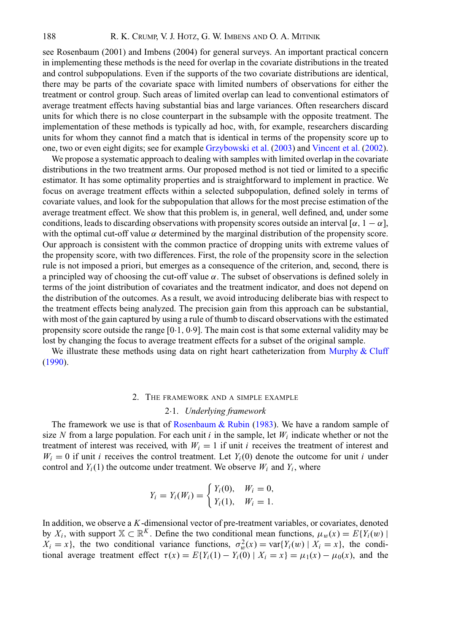see Rosenbaum (2001) and Imbens (2004) for general surveys. An important practical concern in implementing these methods is the need for overlap in the covariate distributions in the treated and control subpopulations. Even if the supports of the two covariate distributions are identical, there may be parts of the covariate space with limited numbers of observations for either the treatment or control group. Such areas of limited overlap can lead to conventional estimators of average treatment effects having substantial bias and large variances. Often researchers discard units for which there is no close counterpart in the subsample with the opposite treatment. The implementation of these methods is typically ad hoc, with, for example, researchers discarding units for whom they cannot find a match that is identical in terms of the propensity score up to one, two or even eight digits; see for example [Grzybowski et al.](#page-12-6) [\(2003\)](#page-12-6) and [Vincent et al.](#page-12-7) [\(2002\)](#page-12-7).

We propose a systematic approach to dealing with samples with limited overlap in the covariate distributions in the two treatment arms. Our proposed method is not tied or limited to a specific estimator. It has some optimality properties and is straightforward to implement in practice. We focus on average treatment effects within a selected subpopulation, defined solely in terms of covariate values, and look for the subpopulation that allows for the most precise estimation of the average treatment effect. We show that this problem is, in general, well defined, and, under some conditions, leads to discarding observations with propensity scores outside an interval [ $\alpha$ , 1 –  $\alpha$ ], with the optimal cut-off value  $\alpha$  determined by the marginal distribution of the propensity score. Our approach is consistent with the common practice of dropping units with extreme values of the propensity score, with two differences. First, the role of the propensity score in the selection rule is not imposed a priori, but emerges as a consequence of the criterion, and, second, there is a principled way of choosing the cut-off value  $\alpha$ . The subset of observations is defined solely in terms of the joint distribution of covariates and the treatment indicator, and does not depend on the distribution of the outcomes. As a result, we avoid introducing deliberate bias with respect to the treatment effects being analyzed. The precision gain from this approach can be substantial, with most of the gain captured by using a rule of thumb to discard observations with the estimated propensity score outside the range [0·1, 0·9]. The main cost is that some external validity may be lost by changing the focus to average treatment effects for a subset of the original sample.

We illustrate these methods using data on right heart catheterization from Murphy  $& Cluff$ [\(1990\)](#page-12-8).

## 2. THE FRAMEWORK AND A SIMPLE EXAMPLE

## 2·1. *Underlying framework*

The framework we use is that of [Rosenbaum & Rubin](#page-12-4)  $(1983)$ . We have a random sample of size N from a large population. For each unit  $i$  in the sample, let  $W_i$  indicate whether or not the treatment of interest was received, with  $W_i = 1$  if unit *i* receives the treatment of interest and  $W_i = 0$  if unit *i* receives the control treatment. Let  $Y_i(0)$  denote the outcome for unit *i* under control and  $Y_i(1)$  the outcome under treatment. We observe  $W_i$  and  $Y_i$ , where

$$
Y_i = Y_i(W_i) = \begin{cases} Y_i(0), & W_i = 0, \\ Y_i(1), & W_i = 1. \end{cases}
$$

In addition, we observe a *K*-dimensional vector of pre-treatment variables, or covariates, denoted by  $X_i$ , with support  $\mathbb{X} \subset \mathbb{R}^K$ . Define the two conditional mean functions,  $\mu_w(x) = E{Y_i(w)}$  $X_i = x$ , the two conditional variance functions,  $\sigma_w^2(x) = \text{var}\{Y_i(w) \mid X_i = x\}$ , the conditional average treatment effect  $\tau(x) = E{Y_i(1) - Y_i(0) | X_i = x} = \mu_1(x) - \mu_0(x)$ , and the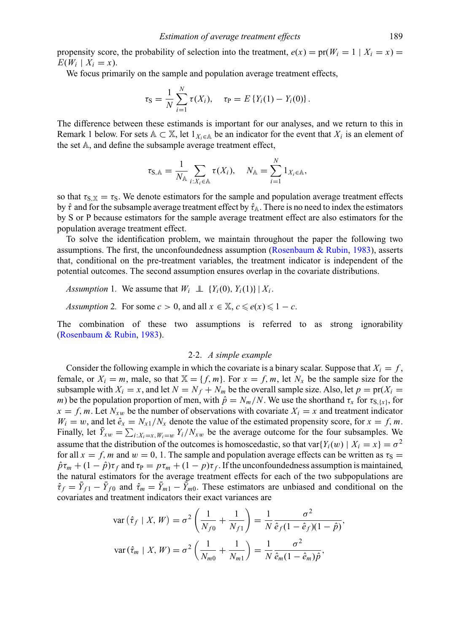propensity score, the probability of selection into the treatment,  $e(x) = \text{pr}(W_i = 1 \mid X_i = x)$  $E(W_i | X_i = x)$ .

We focus primarily on the sample and population average treatment effects,

$$
\tau_{\rm S} = \frac{1}{N} \sum_{i=1}^N \tau(X_i), \quad \tau_{\rm P} = E \{ Y_i(1) - Y_i(0) \}.
$$

The difference between these estimands is important for our analyses, and we return to this in Remark 1 below. For sets  $A \subset \mathbb{X}$ , let  $1_{X_i \in A}$  be an indicator for the event that  $X_i$  is an element of the set A, and define the subsample average treatment effect,

$$
\tau_{\mathbf{S},\mathbb{A}} = \frac{1}{N_{\mathbb{A}}} \sum_{i:X_i \in \mathbb{A}} \tau(X_i), \quad N_{\mathbb{A}} = \sum_{i=1}^N 1_{X_i \in \mathbb{A}},
$$

so that  $\tau_{S,X} = \tau_S$ . We denote estimators for the sample and population average treatment effects by  $\hat{\tau}$  and for the subsample average treatment effect by  $\hat{\tau}_A$ . There is no need to index the estimators by S or P because estimators for the sample average treatment effect are also estimators for the population average treatment effect.

To solve the identification problem, we maintain throughout the paper the following two assumptions. The first, the unconfoundedness assumption [\(Rosenbaum & Rubin](#page-12-4), [1983\)](#page-12-4), asserts that, conditional on the pre-treatment variables, the treatment indicator is independent of the potential outcomes. The second assumption ensures overlap in the covariate distributions.

*Assumption* 1. We assume that  $W_i \perp \!\!\!\perp \{Y_i(0), Y_i(1)\} \mid X_i$ .

*Assumption* 2. For some  $c > 0$ , and all  $x \in \mathbb{X}$ ,  $c \le e(x) \le 1 - c$ .

<span id="page-2-1"></span>The combination of these two assumptions is referred to as strong ignorability [\(Rosenbaum & Rubin,](#page-12-4) [1983](#page-12-4)).

# <span id="page-2-0"></span>2·2. *A simple example*

Consider the following example in which the covariate is a binary scalar. Suppose that  $X_i = f$ , female, or  $X_i = m$ , male, so that  $X = \{f, m\}$ . For  $x = f, m$ , let  $N_x$  be the sample size for the subsample with  $X_i = x$ , and let  $N = N_f + N_m$  be the overall sample size. Also, let  $p = pr(X_i =$ *m*) be the population proportion of men, with  $\hat{p} = N_m/N$ . We use the shorthand  $\tau_x$  for  $\tau_{S,\{x\}}$ , for  $x = f, m$ . Let  $N_{xw}$  be the number of observations with covariate  $X_i = x$  and treatment indicator  $W_i = w$ , and let  $\hat{e}_x = N_{x1}/N_x$  denote the value of the estimated propensity score, for  $x = f$ , *m*. Finally, let  $\bar{Y}_{xw} = \sum_{i: X_i = x, W_i = w} Y_i / N_{xw}$  be the average outcome for the four subsamples. We assume that the distribution of the outcomes is homoscedastic, so that var ${Y_i(w) | X_i = x} = \sigma^2$ for all  $x = f$ , *m* and  $w = 0$ , 1. The sample and population average effects can be written as  $\tau_s =$  $\hat{p}\tau_m + (1-\hat{p})\tau_f$  and  $\tau_P = p\tau_m + (1-p)\tau_f$ . If the unconfoundedness assumption is maintained, the natural estimators for the average treatment effects for each of the two subpopulations are  $\hat{\tau}_f = \bar{Y}_{f1} - \bar{Y}_{f0}$  and  $\hat{\tau}_m = \bar{Y}_{m1} - \bar{Y}_{m0}$ . These estimators are unbiased and conditional on the covariates and treatment indicators their exact variances are

$$
\operatorname{var}\left(\hat{\tau}_f \mid X, W\right) = \sigma^2 \left(\frac{1}{N_{f0}} + \frac{1}{N_{f1}}\right) = \frac{1}{N} \frac{\sigma^2}{\hat{e}_f (1 - \hat{e}_f)(1 - \hat{p})},
$$

$$
\operatorname{var}\left(\hat{\tau}_m \mid X, W\right) = \sigma^2 \left(\frac{1}{N_{m0}} + \frac{1}{N_{m1}}\right) = \frac{1}{N} \frac{\sigma^2}{\hat{e}_m (1 - \hat{e}_m)\hat{p}},
$$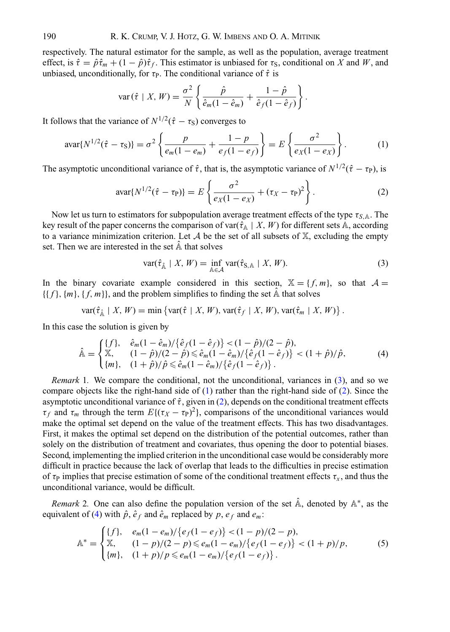respectively. The natural estimator for the sample, as well as the population, average treatment effect, is  $\hat{\tau} = \hat{p}\hat{\tau}_m + (1 - \hat{p})\hat{\tau}_f$ . This estimator is unbiased for  $\tau_s$ , conditional on *X* and *W*, and unbiased, unconditionally, for  $\tau_P$ . The conditional variance of  $\hat{\tau}$  is

$$
\text{var}(\hat{\tau} \mid X, W) = \frac{\sigma^2}{N} \left\{ \frac{\hat{p}}{\hat{e}_m(1-\hat{e}_m)} + \frac{1-\hat{p}}{\hat{e}_f(1-\hat{e}_f)} \right\}.
$$

<span id="page-3-1"></span>It follows that the variance of  $N^{1/2}(\hat{\tau} - \tau_s)$  converges to

$$
\text{avar}\{N^{1/2}(\hat{\tau}-\tau_{\text{S}})\} = \sigma^2 \left\{ \frac{p}{e_m(1-e_m)} + \frac{1-p}{e_f(1-e_f)} \right\} = E \left\{ \frac{\sigma^2}{e_X(1-e_X)} \right\}.
$$
 (1)

<span id="page-3-2"></span>The asymptotic unconditional variance of  $\hat{\tau}$ , that is, the asymptotic variance of  $N^{1/2}(\hat{\tau}-\tau_{\rm P})$ , is

$$
\operatorname{avar}\{N^{1/2}(\hat{\tau}-\tau_{\mathbf{P}})\}=E\left\{\frac{\sigma^2}{e_X(1-e_X)}+(\tau_X-\tau_{\mathbf{P}})^2\right\}.
$$
 (2)

Now let us turn to estimators for subpopulation average treatment effects of the type  $\tau_{S,A}$ . The key result of the paper concerns the comparison of var( $\hat{\tau}_A \mid X, W$ ) for different sets A, according to a variance minimization criterion. Let A be the set of all subsets of  $X$ , excluding the empty set. Then we are interested in the set  $\hat{A}$  that solves

$$
\text{var}(\hat{\tau}_{\hat{\mathbb{A}}} \mid X, W) = \inf_{\mathbb{A} \in \mathcal{A}} \text{var}(\hat{\tau}_{\mathbb{S}, \mathbb{A}} \mid X, W). \tag{3}
$$

<span id="page-3-0"></span>In the binary covariate example considered in this section,  $\mathbb{X} = \{f, m\}$ , so that  $\mathcal{A} =$  $\{\{f\},\{m\},\{f,m\}\}\$ , and the problem simplifies to finding the set  $\hat{A}$  that solves

$$
\text{var}(\hat{\tau}_{\hat{\mathbb{A}}}\mid X,\,W)=\min\left\{\text{var}(\hat{\tau}\mid X,\,W),\,\text{var}(\hat{\tau}_{f}\mid X,\,W),\,\text{var}(\hat{\tau}_{m}\mid X,\,W)\right\}.
$$

<span id="page-3-3"></span>In this case the solution is given by

$$
\hat{\mathbb{A}} = \begin{cases}\n\{f\}, & \hat{e}_m(1 - \hat{e}_m) / \{\hat{e}_f(1 - \hat{e}_f)\} < (1 - \hat{p}) / (2 - \hat{p}), \\
\mathbb{X}, & (1 - \hat{p}) / (2 - \hat{p}) \leq \hat{e}_m(1 - \hat{e}_m) / \{\hat{e}_f(1 - \hat{e}_f)\} < (1 + \hat{p}) / \hat{p}, \\
\{m\}, & (1 + \hat{p}) / \hat{p} \leq \hat{e}_m(1 - \hat{e}_m) / \{\hat{e}_f(1 - \hat{e}_f)\}.\n\end{cases}
$$
\n(4)

*Remark* 1. We compare the conditional, not the unconditional, variances in [\(3\)](#page-3-0), and so we compare objects like the right-hand side of  $(1)$  rather than the right-hand side of  $(2)$ . Since the asymptotic unconditional variance of  $\hat{\tau}$ , given in [\(2\)](#page-3-2), depends on the conditional treatment effects  $\tau_f$  and  $\tau_m$  through the term  $E\{(\tau_X - \tau_P)^2\}$ , comparisons of the unconditional variances would make the optimal set depend on the value of the treatment effects. This has two disadvantages. First, it makes the optimal set depend on the distribution of the potential outcomes, rather than solely on the distribution of treatment and covariates, thus opening the door to potential biases. Second, implementing the implied criterion in the unconditional case would be considerably more difficult in practice because the lack of overlap that leads to the difficulties in precise estimation of  $\tau_{\rm P}$  implies that precise estimation of some of the conditional treatment effects  $\tau_{\rm r}$ , and thus the unconditional variance, would be difficult.

<span id="page-3-4"></span>*Remark* 2. One can also define the population version of the set  $\hat{A}$ , denoted by  $A^*$ , as the equivalent of [\(4\)](#page-3-3) with  $\hat{p}$ ,  $\hat{e}_f$  and  $\hat{e}_m$  replaced by p,  $e_f$  and  $e_m$ .

$$
\mathbb{A}^* = \begin{cases} \{f\}, & e_m(1 - e_m)/\{e_f(1 - e_f)\} < (1 - p)/(2 - p), \\ \mathbb{X}, & (1 - p)/(2 - p) \le e_m(1 - e_m)/\{e_f(1 - e_f)\} < (1 + p)/p, \\ \{m\}, & (1 + p)/p \le e_m(1 - e_m)/\{e_f(1 - e_f)\} \end{cases} . \tag{5}
$$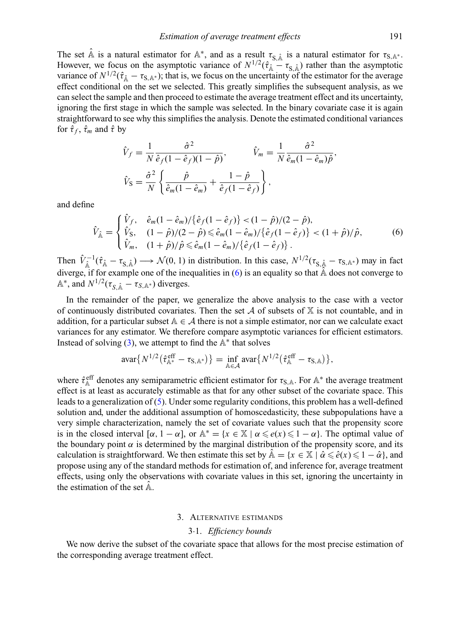The set  $\hat{A}$  is a natural estimator for  $A^*$ , and as a result  $\tau_{S,\hat{A}}$  is a natural estimator for  $\tau_{S,A^*}$ . However, we focus on the asymptotic variance of  $N^{1/2}(\hat{\tau}_{\hat{\mathbb{A}}} - \tau_{S,\hat{\mathbb{A}}})$  rather than the asymptotic variance of  $N^{1/2}(\hat{\tau}_{\hat{\mathbb{A}}} - \tau_{S,\mathbb{A}^*})$ ; that is, we focus on the uncertainty of the estimator for the average effect conditional on the set we selected. This greatly simplifies the subsequent analysis, as we can select the sample and then proceed to estimate the average treatment effect and its uncertainty, ignoring the first stage in which the sample was selected. In the binary covariate case it is again straightforward to see why this simplifies the analysis. Denote the estimated conditional variances for  $\hat{\tau}_f$ ,  $\hat{\tau}_m$  and  $\hat{\tau}$  by

$$
\hat{V}_f = \frac{1}{N} \frac{\hat{\sigma}^2}{\hat{e}_f (1 - \hat{e}_f)(1 - \hat{p})}, \qquad \hat{V}_m = \frac{1}{N} \frac{\hat{\sigma}^2}{\hat{e}_m (1 - \hat{e}_m)\hat{p}},
$$

$$
\hat{V}_S = \frac{\hat{\sigma}^2}{N} \left\{ \frac{\hat{p}}{\hat{e}_m (1 - \hat{e}_m)} + \frac{1 - \hat{p}}{\hat{e}_f (1 - \hat{e}_f)} \right\},
$$

<span id="page-4-0"></span>and define

$$
\hat{V}_{\hat{\mathbb{A}}} = \begin{cases}\n\hat{V}_f, & \hat{e}_m(1 - \hat{e}_m) / \{\hat{e}_f(1 - \hat{e}_f)\} < (1 - \hat{p}) / (2 - \hat{p}), \\
\hat{V}_{\hat{\mathbb{A}}} < (1 - \hat{p}) / (2 - \hat{p}) \le \hat{e}_m(1 - \hat{e}_m) / \{\hat{e}_f(1 - \hat{e}_f)\} < (1 + \hat{p}) / \hat{p}, \\
\hat{V}_m, & (1 + \hat{p}) / \hat{p} \le \hat{e}_m(1 - \hat{e}_m) / \{\hat{e}_f(1 - \hat{e}_f)\}.\n\end{cases} \tag{6}
$$

Then  $\hat{V}_{\hat{\mathbb{A}}}^{-1}(\hat{\tau}_{\hat{\mathbb{A}}} - \tau_{\mathbb{S},\hat{\mathbb{A}}}) \longrightarrow \mathcal{N}(0, 1)$  in distribution. In this case,  $N^{1/2}(\tau_{\mathbb{S},\hat{\mathbb{A}}} - \tau_{\mathbb{S},\mathbb{A}^*})$  may in fact diverge, if for example one of the inequalities in [\(6\)](#page-4-0) is an equality so that  $\hat{A}$  does not converge to  $\mathbb{A}^*$ , and  $N^{1/2}(\tau_{S\hat{A}} - \tau_{S,A^*})$  diverges.

In the remainder of the paper, we generalize the above analysis to the case with a vector of continuously distributed covariates. Then the set  $A$  of subsets of  $X$  is not countable, and in addition, for a particular subset  $A \in \mathcal{A}$  there is not a simple estimator, nor can we calculate exact variances for any estimator. We therefore compare asymptotic variances for efficient estimators. Instead of solving  $(3)$ , we attempt to find the  $\mathbb{A}^*$  that solves

$$
\mathrm{avar}\big\{N^{1/2}\big(\hat{\tau}_{\mathbb{A}^*}^{\mathrm{eff}}-\tau_{\mathrm{S},\mathbb{A}^*}\big)\big\}=\inf_{\mathbb{A}\in\mathcal{A}}\mathrm{avar}\big\{N^{1/2}\big(\hat{\tau}_{\mathbb{A}}^{\mathrm{eff}}-\tau_{\mathrm{S},\mathbb{A}}\big)\big\},
$$

where  $\hat{\tau}_{A}^{\text{eff}}$  denotes any semiparametric efficient estimator for  $\tau_{S,A}$ . For  $A^*$  the average treatment effect is at least as accurately estimable as that for any other subset of the covariate space. This leads to a generalization of  $(5)$ . Under some regularity conditions, this problem has a well-defined solution and, under the additional assumption of homoscedasticity, these subpopulations have a very simple characterization, namely the set of covariate values such that the propensity score is in the closed interval  $[\alpha, 1 - \alpha]$ , or  $\mathbb{A}^* = \{x \in \mathbb{X} \mid \alpha \leq e(x) \leq 1 - \alpha\}$ . The optimal value of the boundary point  $\alpha$  is determined by the marginal distribution of the propensity score, and its calculation is straightforward. We then estimate this set by  $\hat{A} = \{x \in \mathbb{X} \mid \hat{\alpha} \leq \hat{e}(x) \leq 1 - \hat{\alpha}\}\)$ , and propose using any of the standard methods for estimation of, and inference for, average treatment effects, using only the observations with covariate values in this set, ignoring the uncertainty in the estimation of the set  $\hat{A}$ .

## 3. ALTERNATIVE ESTIMANDS

## 3·1. *Efficiency bounds*

We now derive the subset of the covariate space that allows for the most precise estimation of the corresponding average treatment effect.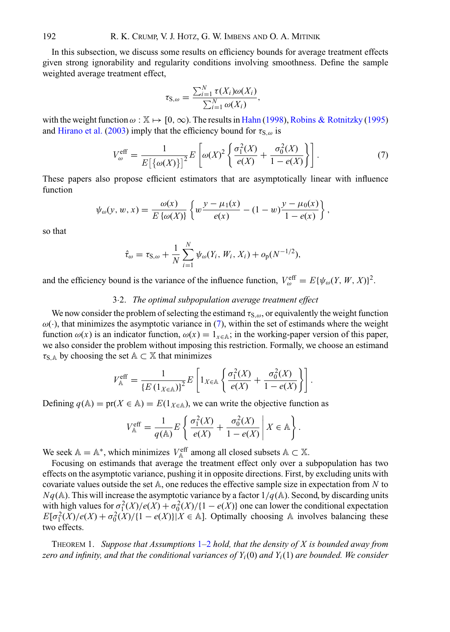In this subsection, we discuss some results on efficiency bounds for average treatment effects given strong ignorability and regularity conditions involving smoothness. Define the sample weighted average treatment effect,

$$
\tau_{\mathcal{S},\omega} = \frac{\sum_{i=1}^N \tau(X_i)\omega(X_i)}{\sum_{i=1}^N \omega(X_i)},
$$

with the weight function  $\omega : \mathbb{X} \mapsto [0, \infty)$ . The results in [Hahn](#page-12-0) [\(1998](#page-12-0)), [Robins & Rotnitzky](#page-12-9) [\(1995](#page-12-9)) and [Hirano et al.](#page-12-5) [\(2003](#page-12-5)) imply that the efficiency bound for  $\tau_{S,\omega}$  is

$$
V_{\omega}^{\text{eff}} = \frac{1}{E\left[\left\{\omega(X)\right\}\right]^2} E\left[\omega(X)^2 \left\{\frac{\sigma_1^2(X)}{e(X)} + \frac{\sigma_0^2(X)}{1 - e(X)}\right\}\right].
$$
 (7)

<span id="page-5-0"></span>These papers also propose efficient estimators that are asymptotically linear with influence function

$$
\psi_{\omega}(y, w, x) = \frac{\omega(x)}{E\{\omega(X)\}} \left\{ w \frac{y - \mu_1(x)}{e(x)} - (1 - w) \frac{y - \mu_0(x)}{1 - e(x)} \right\},\,
$$

so that

$$
\hat{\tau}_{\omega} = \tau_{\text{S},\omega} + \frac{1}{N} \sum_{i=1}^{N} \psi_{\omega}(Y_i, W_i, X_i) + o_p(N^{-1/2}),
$$

and the efficiency bound is the variance of the influence function,  $V_{\omega}^{\text{eff}} = E{\psi_{\omega}(Y, W, X)}^2$ .

## 3·2. *The optimal subpopulation average treatment effect*

We now consider the problem of selecting the estimand  $\tau_{S,\omega}$ , or equivalently the weight function  $\omega(\cdot)$ , that minimizes the asymptotic variance in [\(7\)](#page-5-0), within the set of estimands where the weight function  $\omega(x)$  is an indicator function,  $\omega(x) = 1_{x \in \mathbb{A}}$ ; in the working-paper version of this paper, we also consider the problem without imposing this restriction. Formally, we choose an estimand  $\tau_{S,A}$  by choosing the set  $A \subset X$  that minimizes

$$
V_{\mathbb{A}}^{\text{eff}} = \frac{1}{\{E(1_{X\in\mathbb{A}})\}^2} E\left[1_{X\in\mathbb{A}}\left\{\frac{\sigma_1^2(X)}{e(X)} + \frac{\sigma_0^2(X)}{1 - e(X)}\right\}\right].
$$

Defining  $q(A) = pr(X \in A) = E(1_{X \in A})$ , we can write the objective function as

$$
V_{\mathbb{A}}^{\text{eff}} = \frac{1}{q(\mathbb{A})} E \left\{ \frac{\sigma_1^2(X)}{e(X)} + \frac{\sigma_0^2(X)}{1 - e(X)} \middle| X \in \mathbb{A} \right\}.
$$

We seek  $\mathbb{A} = \mathbb{A}^*$ , which minimizes  $V_A^{\text{eff}}$  among all closed subsets  $\mathbb{A} \subset \mathbb{X}$ .

Focusing on estimands that average the treatment effect only over a subpopulation has two effects on the asymptotic variance, pushing it in opposite directions. First, by excluding units with covariate values outside the set A, one reduces the effective sample size in expectation from *N* to  $Nq(\mathbb{A})$ . This will increase the asymptotic variance by a factor  $1/q(\mathbb{A})$ . Second, by discarding units with high values for  $\sigma_1^2(X)/e(X) + \sigma_0^2(X)/\{1 - e(X)\}\$  one can lower the conditional expectation  $E[\sigma_1^2(X)/e(X) + \sigma_0^2(X)/\{1 - e(X)\}|X \in \mathbb{A}]$ . Optimally choosing A involves balancing these two effects.

<span id="page-5-1"></span>THEOREM 1. *Suppose that Assumptions* [1](#page-2-0)*–*[2](#page-2-1) *hold, that the density of X is bounded away from zero and infinity, and that the conditional variances of*  $Y_i(0)$  *and*  $Y_i(1)$  *are bounded. We consider*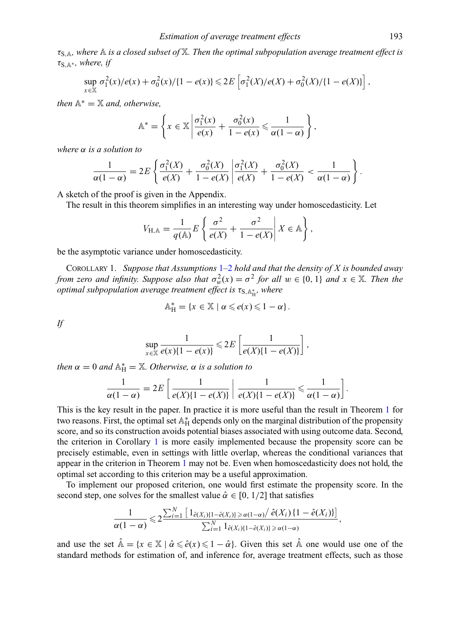τS,A*, where* A *is a closed subset of* X*. Then the optimal subpopulation average treatment effect is*  $\tau_{S, A^*}$ *, where, if* 

$$
\sup_{x \in \mathbb{X}} \sigma_1^2(x)/e(x) + \sigma_0^2(x)/\{1 - e(x)\} \le 2E \left[ \sigma_1^2(X)/e(X) + \sigma_0^2(X)/\{1 - e(X)\} \right],
$$

*then*  $\mathbb{A}^* = \mathbb{X}$  *and, otherwise,* 

$$
\mathbb{A}^* = \left\{ x \in \mathbb{X} \left| \frac{\sigma_1^2(x)}{e(x)} + \frac{\sigma_0^2(x)}{1 - e(x)} \leqslant \frac{1}{\alpha(1 - \alpha)} \right. \right\},\,
$$

*where* α *is a solution to*

$$
\frac{1}{\alpha(1-\alpha)}=2E\left\{\frac{\sigma_1^2(X)}{e(X)}+\frac{\sigma_0^2(X)}{1-e(X)}\left|\frac{\sigma_1^2(X)}{e(X)}+\frac{\sigma_0^2(X)}{1-e(X)}<\frac{1}{\alpha(1-\alpha)}\right.\right\}.
$$

A sketch of the proof is given in the Appendix.

The result in this theorem simplifies in an interesting way under homoscedasticity. Let

<span id="page-6-0"></span>
$$
V_{\mathrm{H,A}} = \frac{1}{q(\mathbb{A})} E \left\{ \left. \frac{\sigma^2}{e(X)} + \frac{\sigma^2}{1 - e(X)} \right| X \in \mathbb{A} \right\},\
$$

be the asymptotic variance under homoscedasticity.

COROLLARY 1. *Suppose that Assumptions* [1](#page-2-0)*–*[2](#page-2-1) *hold and that the density of X is bounded away from zero and infinity. Suppose also that*  $\sigma_w^2(x) = \sigma^2$  *for all*  $w \in \{0, 1\}$  *and*  $x \in \mathbb{X}$ *. Then the* optimal subpopulation average treatment effect is τ<sub>S, A‡1</sub>, where

$$
\mathbb{A}_{\mathrm{H}}^* = \{x \in \mathbb{X} \mid \alpha \leqslant e(x) \leqslant 1 - \alpha\}.
$$

*If*

$$
\sup_{x \in \mathbb{X}} \frac{1}{e(x)\{1-e(x)\}} \leq 2E\left[\frac{1}{e(X)\{1-e(X)\}}\right]
$$

,

*then*  $\alpha = 0$  *and*  $\mathbb{A}^*$ <sub>H</sub> =  $\mathbb{X}$ *. Otherwise,*  $\alpha$  *is a solution to* 

$$
\frac{1}{\alpha(1-\alpha)}=2E\left[\frac{1}{e(X)\{1-e(X)\}}\middle|\frac{1}{e(X)\{1-e(X)\}}\leqslant\frac{1}{\alpha(1-\alpha)}\right].
$$

This is the key result in the paper. In practice it is more useful than the result in Theorem [1](#page-5-1) for two reasons. First, the optimal set  $\mathbb{A}^*_{\rm H}$  depends only on the marginal distribution of the propensity score, and so its construction avoids potential biases associated with using outcome data. Second, the criterion in Corollary [1](#page-6-0) is more easily implemented because the propensity score can be precisely estimable, even in settings with little overlap, whereas the conditional variances that appear in the criterion in Theorem [1](#page-5-1) may not be. Even when homoscedasticity does not hold, the optimal set according to this criterion may be a useful approximation.

To implement our proposed criterion, one would first estimate the propensity score. In the second step, one solves for the smallest value  $\hat{\alpha} \in [0, 1/2]$  that satisfies

$$
\frac{1}{\alpha(1-\alpha)} \leqslant 2\frac{\sum_{i=1}^N \left[1_{\hat{e}(X_i)\{1-\hat{e}(X_i)\}\geqslant \alpha(1-\alpha)}/\hat{e}(X_i)\{1-\hat{e}(X_i)\}\right]}{\sum_{i=1}^N 1_{\hat{e}(X_i)\{1-\hat{e}(X_i)\}\geqslant \alpha(1-\alpha)}},
$$

and use the set  $\hat{A} = \{x \in \mathbb{X} \mid \hat{\alpha} \leq \hat{e}(x) \leq 1 - \hat{\alpha}\}\)$ . Given this set  $\hat{A}$  one would use one of the standard methods for estimation of, and inference for, average treatment effects, such as those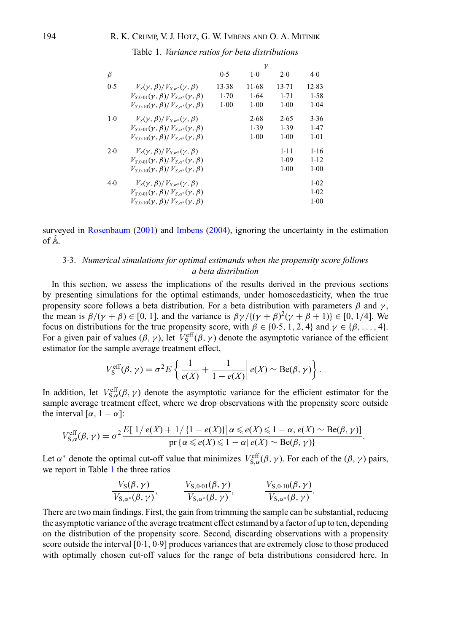## 194 R. K. CRUMP, V. J. HOTZ, G. W. IMBENS AND O. A. MITINIK

#### Table 1. *Variance ratios for beta distributions*

γ

<span id="page-7-0"></span>

|       |                                                         | Y      |        |          |        |
|-------|---------------------------------------------------------|--------|--------|----------|--------|
| β     |                                                         | 0.5    | $1-0$  | $2-0$    | $4-0$  |
| 0.5   | $V_S(\gamma, \beta)/V_{S,\alpha^*}(\gamma, \beta)$      | 13.38  | 11.68  | 13.71    | 12.83  |
|       | $V_{S,0.01}(\gamma,\beta)/V_{S,\alpha^*}(\gamma,\beta)$ | 1.70   | 1.64   | 1.71     | 1.58   |
|       | $V_{S,0.10}(\gamma,\beta)/V_{S,\alpha^*}(\gamma,\beta)$ | $1-00$ | 1.00   | 1.00     | 1.04   |
| $1-0$ | $V_S(\gamma, \beta)/V_{S,\alpha^*}(\gamma, \beta)$      |        | 2.68   | 2.65     | 3.36   |
|       | $V_{S,0.01}(\gamma,\beta)/V_{S,\alpha^*}(\gamma,\beta)$ |        | 1.39   | 1.39     | 1.47   |
|       | $V_{S,0.10}(\gamma,\beta)/V_{S,\alpha^*}(\gamma,\beta)$ |        | $1-00$ | 1.00     | $1-01$ |
| 2.0   | $V_S(\gamma, \beta)/V_{S,\alpha^*}(\gamma, \beta)$      |        |        | $1 - 11$ | 1.16   |
|       | $V_{S,0.01}(\gamma,\beta)/V_{S,\alpha^*}(\gamma,\beta)$ |        |        | 1.09     | $1-12$ |
|       | $V_{S,0.10}(\gamma,\beta)/V_{S,\alpha^*}(\gamma,\beta)$ |        |        | $1-00$   | $1-00$ |
| $4-0$ | $V_S(\gamma, \beta)/V_{S,\alpha^*}(\gamma, \beta)$      |        |        |          | 1.02   |
|       | $V_{S,0.01}(\gamma,\beta)/V_{S,\alpha^*}(\gamma,\beta)$ |        |        |          | 1.02   |
|       | $V_{S,0.10}(\gamma,\beta)/V_{S,\alpha^*}(\gamma,\beta)$ |        |        |          | $1-00$ |

surveyed in [Rosenbaum](#page-12-10) [\(2001\)](#page-12-10) and [Imbens](#page-12-11) [\(2004\)](#page-12-11), ignoring the uncertainty in the estimation of  $\hat{A}$ .

## 3·3. *Numerical simulations for optimal estimands when the propensity score follows a beta distribution*

In this section, we assess the implications of the results derived in the previous sections by presenting simulations for the optimal estimands, under homoscedasticity, when the true propensity score follows a beta distribution. For a beta distribution with parameters  $\beta$  and  $\gamma$ , the mean is  $\beta/(\gamma + \beta) \in [0, 1]$ , and the variance is  $\beta\gamma/(\gamma + \beta)^2(\gamma + \beta + 1) \in [0, 1/4]$ . We focus on distributions for the true propensity score, with  $\beta \in \{0.5, 1, 2, 4\}$  and  $\gamma \in \{\beta, ..., 4\}$ . For a given pair of values  $(\beta, \gamma)$ , let  $V_S^{\text{eff}}(\beta, \gamma)$  denote the asymptotic variance of the efficient estimator for the sample average treatment effect,

$$
V_{\rm S}^{\rm eff}(\beta,\gamma) = \sigma^2 E \left\{ \frac{1}{e(X)} + \frac{1}{1 - e(X)} \middle| e(X) \sim \text{Be}(\beta,\gamma) \right\}.
$$

In addition, let  $V_{S,\alpha}^{\text{eff}}(\beta, \gamma)$  denote the asymptotic variance for the efficient estimator for the sample average treatment effect, where we drop observations with the propensity score outside the interval  $\lceil \alpha, 1 - \alpha \rceil$ :

$$
V_{\mathbf{S},\alpha}^{\mathrm{eff}}(\beta,\gamma) = \sigma^2 \frac{E[1/e(X) + 1/\{1 - e(X)\}|\alpha \leq e(X) \leq 1 - \alpha, e(X) \sim \mathrm{Be}(\beta,\gamma)]}{\mathrm{pr}\{\alpha \leq e(X) \leq 1 - \alpha | e(X) \sim \mathrm{Be}(\beta,\gamma)\}}.
$$

Let  $\alpha^*$  denote the optimal cut-off value that minimizes  $V_{S,\alpha}^{\text{eff}}(\beta, \gamma)$ . For each of the  $(\beta, \gamma)$  pairs, we report in Table [1](#page-7-0) the three ratios

$$
\frac{V_{\mathcal{S}}(\beta,\gamma)}{V_{\mathcal{S},\alpha^*}(\beta,\gamma)}, \qquad \frac{V_{\mathcal{S},0\cdot 01}(\beta,\gamma)}{V_{\mathcal{S},\alpha^*}(\beta,\gamma)}, \qquad \frac{V_{\mathcal{S},0\cdot 10}(\beta,\gamma)}{V_{\mathcal{S},\alpha^*}(\beta,\gamma)}.
$$

There are two main findings. First, the gain from trimming the sample can be substantial, reducing the asymptotic variance of the average treatment effect estimand by a factor of up to ten, depending on the distribution of the propensity score. Second, discarding observations with a propensity score outside the interval [0·1, 0·9] produces variances that are extremely close to those produced with optimally chosen cut-off values for the range of beta distributions considered here. In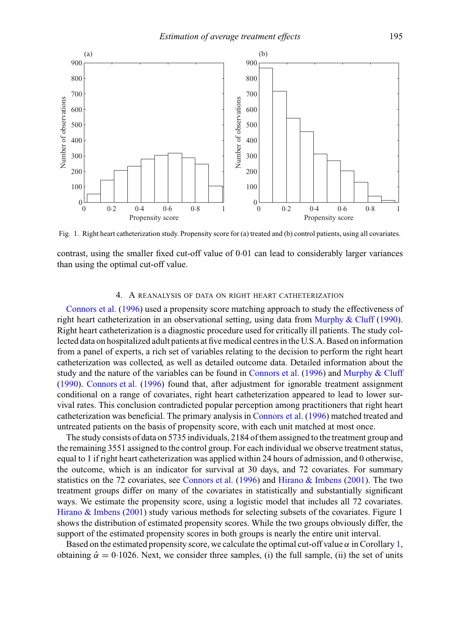

Fig. 1. Right heart catheterization study. Propensity score for (a) treated and (b) control patients, using all covariates.

contrast, using the smaller fixed cut-off value of 0·01 can lead to considerably larger variances than using the optimal cut-off value.

## 4. A REANALYSIS OF DATA ON RIGHT HEART CATHETERIZATION

[Connors et al.](#page-12-12) [\(1996](#page-12-12)) used a propensity score matching approach to study the effectiveness of right heart catheterization in an observational setting, using data from [Murphy & Cluff](#page-12-8) [\(1990](#page-12-8)). Right heart catheterization is a diagnostic procedure used for critically ill patients. The study collected data on hospitalized adult patients at five medical centres in the U.S.A. Based on information from a panel of experts, a rich set of variables relating to the decision to perform the right heart catheterization was collected, as well as detailed outcome data. Detailed information about the study and the nature of the variables can be found in [Connors et al.](#page-12-12)  $(1996)$  and [Murphy & Cluff](#page-12-8) [\(1990\)](#page-12-8). [Connors et al.](#page-12-12) [\(1996](#page-12-12)) found that, after adjustment for ignorable treatment assignment conditional on a range of covariates, right heart catheterization appeared to lead to lower survival rates. This conclusion contradicted popular perception among practitioners that right heart catheterization was beneficial. The primary analysis in [Connors et al.](#page-12-12) [\(1996\)](#page-12-12) matched treated and untreated patients on the basis of propensity score, with each unit matched at most once.

The study consists of data on 5735 individuals, 2184 of them assigned to the treatment group and the remaining 3551 assigned to the control group. For each individual we observe treatment status, equal to 1 if right heart catheterization was applied within 24 hours of admission, and 0 otherwise, the outcome, which is an indicator for survival at 30 days, and 72 covariates. For summary statistics on the 72 covariates, see [Connors et al.](#page-12-12)  $(1996)$  and [Hirano & Imbens](#page-12-13) [\(2001\)](#page-12-13). The two treatment groups differ on many of the covariates in statistically and substantially significant ways. We estimate the propensity score, using a logistic model that includes all 72 covariates. [Hirano & Imbens](#page-12-13) [\(2001\)](#page-12-13) study various methods for selecting subsets of the covariates. Figure 1 shows the distribution of estimated propensity scores. While the two groups obviously differ, the support of the estimated propensity scores in both groups is nearly the entire unit interval.

Based on the estimated propensity score, we calculate the optimal cut-off value  $\alpha$  in Corollary [1,](#page-6-0) obtaining  $\hat{\alpha} = 0.1026$ . Next, we consider three samples, (i) the full sample, (ii) the set of units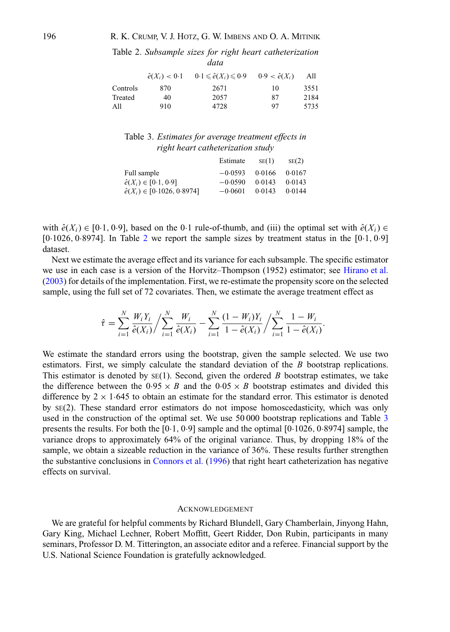<span id="page-9-0"></span>Table 2. *Subsample sizes for right heart catheterization data*

|          | $\hat{e}(X_i) < 0.1$ | $0.1 \leqslant \hat{e}(X_i) \leqslant 0.9$ | $0.9 < \hat{e}(X_i)$ | All  |
|----------|----------------------|--------------------------------------------|----------------------|------|
| Controls | 870                  | 2671                                       | 10                   | 3551 |
| Treated  | 40                   | 2057                                       | 87                   | 2184 |
| All      | 910                  | 4728                                       | 97                   | 5735 |

<span id="page-9-1"></span>Table 3. *Estimates for average treatment effects in right heart catheterization study*

|                                     | Estimate  | SE(1)  | SE(2)  |
|-------------------------------------|-----------|--------|--------|
| Full sample                         | $-0.0593$ | 0.0166 | 0.0167 |
| $\hat{e}(X_i) \in [0.1, 0.9]$       | $-0.0590$ | 0.0143 | 0.0143 |
| $\hat{e}(X_i) \in [0.1026, 0.8974]$ | $-0.0601$ | 0.0143 | 0.0144 |

with  $\hat{e}(X_i) \in [0.1, 0.9]$ , based on the 0·1 rule-of-thumb, and (iii) the optimal set with  $\hat{e}(X_i) \in$  $[0.1026, 0.8974]$  $[0.1026, 0.8974]$  $[0.1026, 0.8974]$ . In Table 2 we report the sample sizes by treatment status in the  $[0.1, 0.9]$ dataset.

Next we estimate the average effect and its variance for each subsample. The specific estimator we use in each case is a version of the Horvitz–Thompson (1952) estimator; see [Hirano et al.](#page-12-5) [\(2003\)](#page-12-5) for details of the implementation. First, we re-estimate the propensity score on the selected sample, using the full set of 72 covariates. Then, we estimate the average treatment effect as

$$
\hat{\tau} = \sum_{i=1}^{N} \frac{W_i Y_i}{\hat{e}(X_i)} / \sum_{i=1}^{N} \frac{W_i}{\hat{e}(X_i)} - \sum_{i=1}^{N} \frac{(1 - W_i)Y_i}{1 - \hat{e}(X_i)} / \sum_{i=1}^{N} \frac{1 - W_i}{1 - \hat{e}(X_i)}.
$$

We estimate the standard errors using the bootstrap, given the sample selected. We use two estimators. First, we simply calculate the standard deviation of the *B* bootstrap replications. This estimator is denoted by SE(1). Second, given the ordered *B* bootstrap estimates, we take the difference between the  $0.95 \times B$  and the  $0.05 \times B$  bootstrap estimates and divided this difference by  $2 \times 1.645$  to obtain an estimate for the standard error. This estimator is denoted by SE(2). These standard error estimators do not impose homoscedasticity, which was only used in the construction of the optimal set. We use 50 000 bootstrap replications and Table [3](#page-9-1) presents the results. For both the [0·1, 0·9] sample and the optimal [0·1026, 0·8974] sample, the variance drops to approximately 64% of the original variance. Thus, by dropping 18% of the sample, we obtain a sizeable reduction in the variance of 36%. These results further strengthen the substantive conclusions in [Connors et al.](#page-12-12) [\(1996](#page-12-12)) that right heart catheterization has negative effects on survival.

#### ACKNOWLEDGEMENT

We are grateful for helpful comments by Richard Blundell, Gary Chamberlain, Jinyong Hahn, Gary King, Michael Lechner, Robert Moffitt, Geert Ridder, Don Rubin, participants in many seminars, Professor D. M. Titterington, an associate editor and a referee. Financial support by the U.S. National Science Foundation is gratefully acknowledged.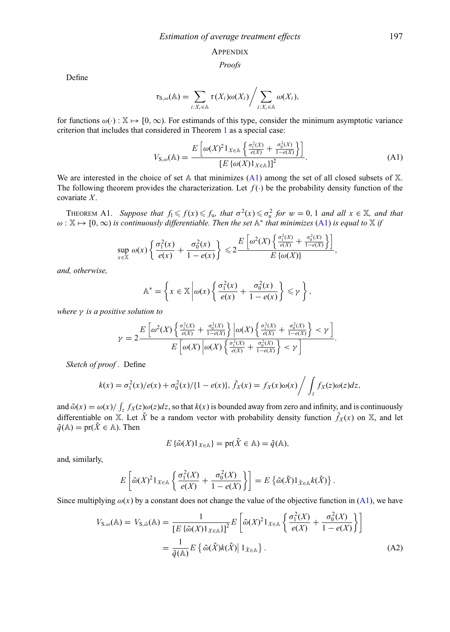#### **APPENDIX**

*Proofs*

Define

$$
\tau_{S,\omega}(\mathbb{A}) = \sum_{i:X_i \in \mathbb{A}} \tau(X_i)\omega(X_i) / \sum_{i:X_i \in \mathbb{A}} \omega(X_i),
$$

for functions  $\omega(\cdot): \mathbb{X} \mapsto [0, \infty)$ . For estimands of this type, consider the minimum asymptotic variance criterion that includes that considered in Theorem [1](#page-5-1) as a special case:

$$
V_{\mathcal{S},\omega}(\mathbb{A}) = \frac{E\left[\omega(X)^2 1_{X \in \mathbb{A}} \left\{ \frac{\sigma_i^2(X)}{e(X)} + \frac{\sigma_0^2(X)}{1 - e(X)} \right\} \right]}{\left[E\left\{ \omega(X) 1_{X \in \mathbb{A}}\right\}\right]^2}.
$$
\n(A1)

<span id="page-10-0"></span>We are interested in the choice of set  $A$  that minimizes  $(A1)$  among the set of all closed subsets of  $X$ . The following theorem provides the characterization. Let  $f(\cdot)$  be the probability density function of the covariate *X*.

<span id="page-10-2"></span>THEOREM A1. Suppose that  $f_1 \leq f(x) \leq f_u$ , that  $\sigma^2(x) \leq \sigma_u^2$  for  $w = 0, 1$  and all  $x \in \mathbb{X}$ , and that  $\omega : \mathbb{X} \mapsto [0, \infty)$  *is continuously differentiable. Then the set*  $\mathbb{A}^*$  *that minimizes* [\(A1\)](#page-10-0) *is equal to*  $\mathbb{X}$  *if* 

$$
\sup_{x\in\mathbb{X}} \omega(x) \left\{ \frac{\sigma_1^2(x)}{e(x)} + \frac{\sigma_0^2(x)}{1 - e(x)} \right\} \leq 2 \frac{E\left[\omega^2(X) \left\{ \frac{\sigma_1^2(X)}{e(X)} + \frac{\sigma_0^2(X)}{1 - e(X)} \right\} \right]}{E\left\{ \omega(X) \right\}},
$$

*and, otherwise,*

$$
\mathbb{A}^* = \left\{ x \in \mathbb{X} \left| \omega(x) \left\{ \frac{\sigma_1^2(x)}{e(x)} + \frac{\sigma_0^2(x)}{1 - e(x)} \right\} \leq \gamma \right. \right\},\
$$

*where* γ *is a positive solution to*

$$
\gamma = 2 \frac{E\left[\omega^2(X)\left\{\frac{\sigma_1^2(X)}{e(X)} + \frac{\sigma_0^2(X)}{1 - e(X)}\right\} \bigg|\omega(X)\left\{\frac{\sigma_1^2(X)}{e(X)} + \frac{\sigma_0^2(X)}{1 - e(X)}\right\} < \gamma\right]}{E\left[\omega(X)\bigg|\omega(X)\left\{\frac{\sigma_1^2(X)}{e(X)} + \frac{\sigma_0^2(X)}{1 - e(X)}\right\} < \gamma\right]}.
$$

*Sketch of proof .* Define

$$
k(x) = \sigma_1^2(x)/e(x) + \sigma_0^2(x)/\{1 - e(x)\}, \tilde{f}_X(x) = f_X(x)\omega(x) / \int_z f_X(z)\omega(z)dz,
$$

and  $\tilde{\omega}(x) = \omega(x) / \int_z f_X(z) \omega(z) dz$ , so that  $k(x)$  is bounded away from zero and infinity, and is continuously differentiable on X. Let  $\tilde{X}$  be a random vector with probability density function  $\tilde{f}_X(x)$  on X, and let  $\tilde{q}$ ( $\mathbb{A}$ ) = pr( $\tilde{X} \in \mathbb{A}$ ). Then

$$
E\left\{\tilde{\omega}(X)\mathbb{1}_{X\in\mathbb{A}}\right\} = \text{pr}(\tilde{X}\in\mathbb{A}) = \tilde{q}(\mathbb{A}),
$$

and, similarly,

$$
E\left[\tilde{\omega}(X)^2 1_{X \in \mathbb{A}} \left\{ \frac{\sigma_1^2(X)}{e(X)} + \frac{\sigma_0^2(X)}{1 - e(X)} \right\} \right] = E\left\{ \tilde{\omega}(\tilde{X}) 1_{\tilde{X} \in \mathbb{A}} k(\tilde{X}) \right\}.
$$

<span id="page-10-1"></span>Since multiplying  $\omega(x)$  by a constant does not change the value of the objective function in [\(A1\)](#page-10-0), we have

$$
V_{\mathcal{S},\omega}(\mathbb{A}) = V_{\mathcal{S},\tilde{\omega}}(\mathbb{A}) = \frac{1}{\left[E\left\{\tilde{\omega}(X)1_{X\in\mathbb{A}}\right\}\right]^2} E\left[\tilde{\omega}(X)^2 1_{X\in\mathbb{A}} \left\{\frac{\sigma_1^2(X)}{e(X)} + \frac{\sigma_0^2(X)}{1 - e(X)}\right\}\right]
$$

$$
= \frac{1}{\tilde{q}(\mathbb{A})} E\left\{\tilde{\omega}(\tilde{X})k(\tilde{X}) \middle| 1_{\tilde{X}\in\mathbb{A}}\right\}.
$$
(A2)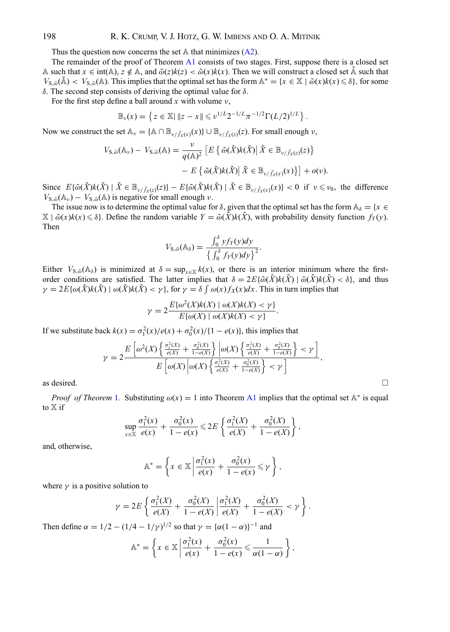Thus the question now concerns the set  $\mathbb A$  that minimizes  $(A2)$ .

The remainder of the proof of Theorem [A1](#page-10-2) consists of two stages. First, suppose there is a closed set A such that  $x \in \text{int}(\mathbb{A})$ ,  $z \notin \mathbb{A}$ , and  $\tilde{\omega}(z)k(z) < \tilde{\omega}(x)k(x)$ . Then we will construct a closed set  $\tilde{\mathbb{A}}$  such that  $V_{\mathcal{S},\tilde{\omega}}(\tilde{\mathbb{A}}) < V_{\mathcal{S},\tilde{\omega}}(\mathbb{A})$ . This implies that the optimal set has the form  $\mathbb{A}^* = \{x \in \mathbb{X} \mid \tilde{\omega}(x)k(x) \leq \delta\}$ , for some δ. The second step consists of deriving the optimal value for δ.

For the first step define a ball around  $x$  with volume  $v$ ,

$$
\mathbb{B}_{\nu}(x) = \left\{ z \in \mathbb{X} \mid \|z - x\| \leqslant \nu^{1/L} 2^{-1/L} \pi^{-1/2} \Gamma(L/2)^{1/L} \right\}.
$$

Now we construct the set  $\mathbb{A}_{\nu} = {\mathbb{A} \cap \mathbb{B}_{\nu/\tilde{f}_X(x)}(x)} \cup \mathbb{B}_{\nu/\tilde{f}_X(z)}(z)$ . For small enough  $\nu$ ,

$$
V_{\mathbf{S},\tilde{\omega}}(\mathbb{A}_{\nu}) - V_{\mathbf{S},\tilde{\omega}}(\mathbb{A}) = \frac{\nu}{q(\mathbb{A})^2} \left[ E \left\{ \tilde{\omega}(\tilde{X}) k(\tilde{X}) \middle| \tilde{X} \in \mathbb{B}_{\nu/\tilde{f}_X(z)}(z) \right\} \right. \\ \left. - E \left\{ \tilde{\omega}(\tilde{X}) k(\tilde{X}) \middle| \tilde{X} \in \mathbb{B}_{\nu/\tilde{f}_X(x)}(x) \right\} \right] + o(\nu).
$$

 $\text{Since } E\{\tilde{\omega}(\tilde{X})k(\tilde{X}) \mid \tilde{X} \in \mathbb{B}_{\nu/\tilde{f}_X(z)}(z)\} - E\{\tilde{\omega}(\tilde{X})k(\tilde{X}) \mid \tilde{X} \in \mathbb{B}_{\nu/\tilde{f}_X(x)}(x)\} < 0 \text{ if } \nu \leq \nu_0, \text{ the difference}$  $V_{\mathbf{S},\tilde{\omega}}(\mathbb{A}_{\nu}) - V_{\mathbf{S},\tilde{\omega}}(\mathbb{A})$  is negative for small enough  $\nu$ .

The issue now is to determine the optimal value for  $\delta$ , given that the optimal set has the form  $\mathbb{A}_{\delta} = \{x \in \mathbb{A} : x \in \mathbb{A}\}$  $\mathbb{X} \mid \tilde{\omega}(x)k(x) \leq \delta$ . Define the random variable  $Y = \tilde{\omega}(\tilde{X})k(\tilde{X})$ , with probability density function  $f_Y(y)$ . Then

$$
V_{\mathbf{S},\tilde{\omega}}(\mathbb{A}_{\delta}) = \frac{\int_0^{\delta} y f_Y(y) dy}{\left\{ \int_0^{\delta} f_Y(y) dy \right\}^2}.
$$

Either  $V_{S,\tilde{\omega}}(A_{\delta})$  is minimized at  $\delta = \sup_{x \in \mathbb{X}} k(x)$ , or there is an interior minimum where the firstorder conditions are satisfied. The latter implies that  $\delta = 2E\{\tilde{\omega}(\tilde{X})k(\tilde{X}) \mid \tilde{\omega}(\tilde{X})k(\tilde{X}) < \delta\}$ , and thus  $\gamma = 2E\{\omega(\tilde{X})k(\tilde{X}) \mid \omega(\tilde{X})k(\tilde{X}) < \gamma\}$ , for  $\gamma = \delta \int \omega(x)f_X(x)dx$ . This in turn implies that

$$
\gamma = 2 \frac{E\{\omega^2(X)k(X) \mid \omega(X)k(X) < \gamma\}}{E\{\omega(X) \mid \omega(X)k(X) < \gamma\}}.
$$

If we substitute back  $k(x) = \sigma_1^2(x)/e(x) + \sigma_0^2(x)/\{1 - e(x)\}\text{, this implies that}$ 

$$
\gamma = 2 \frac{E\left[\omega^2(X)\left\{\frac{\sigma_1^2(X)}{e(X)} + \frac{\sigma_0^2(X)}{1 - e(X)}\right\} \bigg|\omega(X)\left\{\frac{\sigma_1^2(X)}{e(X)} + \frac{\sigma_0^2(X)}{1 - e(X)}\right\} < \gamma\right]}{E\left[\omega(X)\bigg|\omega(X)\left\{\frac{\sigma_1^2(X)}{e(X)} + \frac{\sigma_0^2(X)}{1 - e(X)}\right\} < \gamma\right]},
$$

as desired.

*Proof of Theorem* [1](#page-5-1)*.* Substituting  $\omega(x) = 1$  into Theorem [A1](#page-10-2) implies that the optimal set A<sup>\*</sup> is equal to X if

$$
\sup_{x \in \mathbb{X}} \frac{\sigma_1^2(x)}{e(x)} + \frac{\sigma_0^2(x)}{1 - e(x)} \le 2E \left\{ \frac{\sigma_1^2(X)}{e(X)} + \frac{\sigma_0^2(X)}{1 - e(X)} \right\},\,
$$

and, otherwise,

$$
\mathbb{A}^* = \left\{ x \in \mathbb{X} \left| \frac{\sigma_1^2(x)}{e(x)} + \frac{\sigma_0^2(x)}{1 - e(x)} \leq \gamma \right. \right\},\,
$$

where  $\gamma$  is a positive solution to

*x*∈X

$$
\gamma = 2E\left\{\frac{\sigma_1^2(X)}{e(X)} + \frac{\sigma_0^2(X)}{1 - e(X)} \middle| \frac{\sigma_1^2(X)}{e(X)} + \frac{\sigma_0^2(X)}{1 - e(X)} < \gamma \right\}.
$$

Then define  $\alpha = 1/2 - (1/4 - 1/\gamma)^{1/2}$  so that  $\gamma = {\alpha(1 - \alpha)}^{-1}$  and

$$
\mathbb{A}^* = \left\{ x \in \mathbb{X} \left| \frac{\sigma_1^2(x)}{e(x)} + \frac{\sigma_0^2(x)}{1 - e(x)} \leq \frac{1}{\alpha(1 - \alpha)} \right. \right\},\,
$$